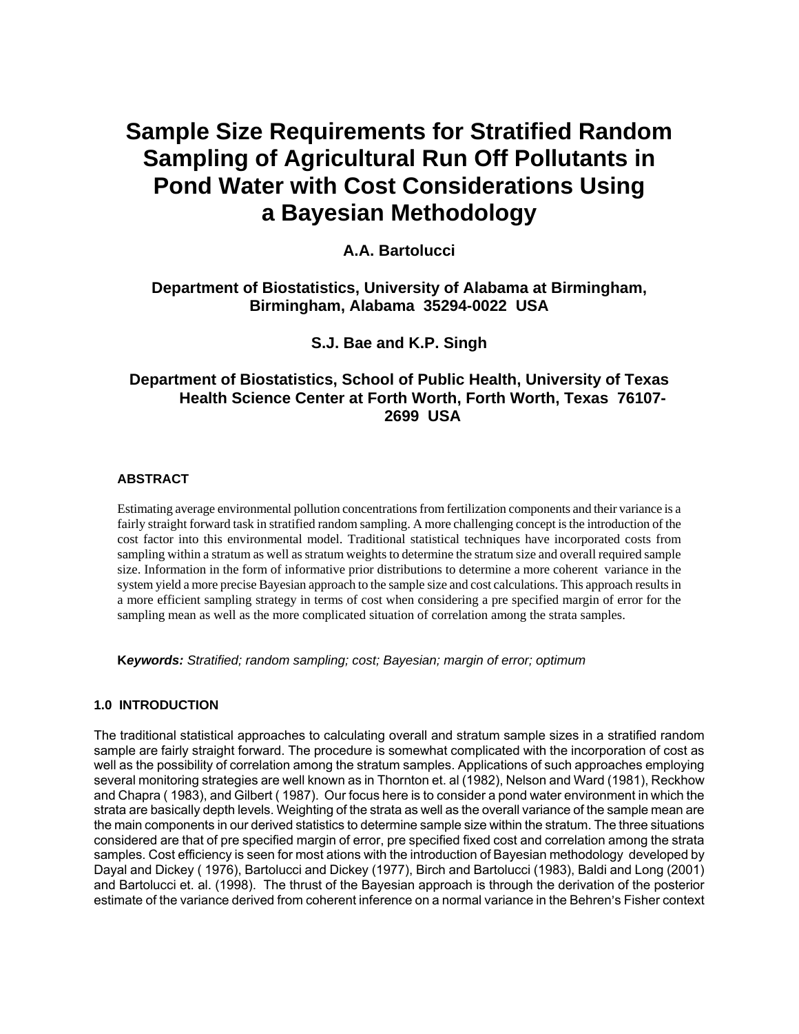# **Sample Size Requirements for Stratified Random Sampling of Agricultural Run Off Pollutants in Pond Water with Cost Considerations Using a Bayesian Methodology**

**A.A. Bartolucci**

## **Department of Biostatistics, University of Alabama at Birmingham, Birmingham, Alabama 35294-0022 USA**

# **S.J. Bae and K.P. Singh**

# **Department of Biostatistics, School of Public Health, University of Texas Health Science Center at Forth Worth, Forth Worth, Texas 76107- 2699 USA**

### **ABSTRACT**

Estimating average environmental pollution concentrations from fertilization components and their variance is a fairly straight forward task in stratified random sampling. A more challenging concept is the introduction of the cost factor into this environmental model. Traditional statistical techniques have incorporated costs from sampling within a stratum as well as stratum weights to determine the stratum size and overall required sample size. Information in the form of informative prior distributions to determine a more coherent variance in the system yield a more precise Bayesian approach to the sample size and cost calculations. This approach results in a more efficient sampling strategy in terms of cost when considering a pre specified margin of error for the sampling mean as well as the more complicated situation of correlation among the strata samples.

**K***eywords: Stratified; random sampling; cost; Bayesian; margin of error; optimum* 

#### **1.0 INTRODUCTION**

The traditional statistical approaches to calculating overall and stratum sample sizes in a stratified random sample are fairly straight forward. The procedure is somewhat complicated with the incorporation of cost as well as the possibility of correlation among the stratum samples. Applications of such approaches employing several monitoring strategies are well known as in Thornton et. al (1982), Nelson and Ward (1981), Reckhow and Chapra ( 1983), and Gilbert ( 1987). Our focus here is to consider a pond water environment in which the strata are basically depth levels. Weighting of the strata as well as the overall variance of the sample mean are the main components in our derived statistics to determine sample size within the stratum. The three situations considered are that of pre specified margin of error, pre specified fixed cost and correlation among the strata samples. Cost efficiency is seen for most ations with the introduction of Bayesian methodology developed by Dayal and Dickey ( 1976), Bartolucci and Dickey (1977), Birch and Bartolucci (1983), Baldi and Long (2001) and Bartolucci et. al. (1998). The thrust of the Bayesian approach is through the derivation of the posterior estimate of the variance derived from coherent inference on a normal variance in the Behren's Fisher context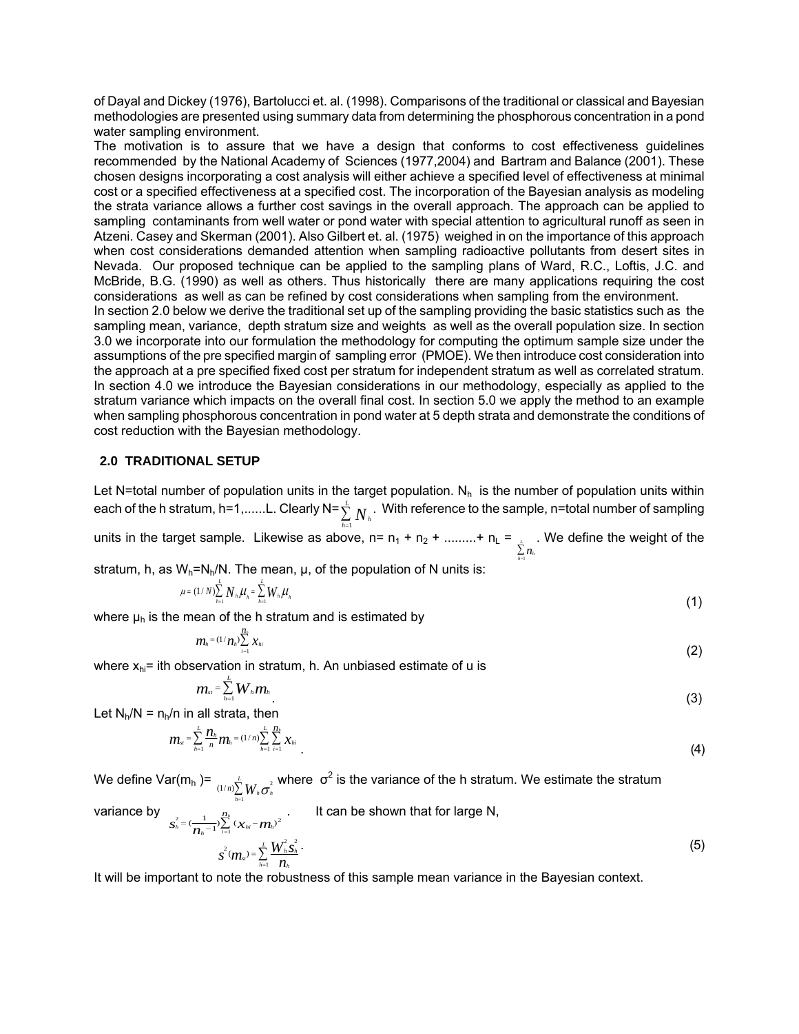of Dayal and Dickey (1976), Bartolucci et. al. (1998). Comparisons of the traditional or classical and Bayesian methodologies are presented using summary data from determining the phosphorous concentration in a pond water sampling environment.

The motivation is to assure that we have a design that conforms to cost effectiveness guidelines recommended by the National Academy of Sciences (1977,2004) and Bartram and Balance (2001). These chosen designs incorporating a cost analysis will either achieve a specified level of effectiveness at minimal cost or a specified effectiveness at a specified cost. The incorporation of the Bayesian analysis as modeling the strata variance allows a further cost savings in the overall approach. The approach can be applied to sampling contaminants from well water or pond water with special attention to agricultural runoff as seen in Atzeni. Casey and Skerman (2001). Also Gilbert et. al. (1975) weighed in on the importance of this approach when cost considerations demanded attention when sampling radioactive pollutants from desert sites in Nevada. Our proposed technique can be applied to the sampling plans of Ward, R.C., Loftis, J.C. and McBride, B.G. (1990) as well as others. Thus historically there are many applications requiring the cost considerations as well as can be refined by cost considerations when sampling from the environment. In section 2.0 below we derive the traditional set up of the sampling providing the basic statistics such as the sampling mean, variance, depth stratum size and weights as well as the overall population size. In section 3.0 we incorporate into our formulation the methodology for computing the optimum sample size under the assumptions of the pre specified margin of sampling error (PMOE). We then introduce cost consideration into

the approach at a pre specified fixed cost per stratum for independent stratum as well as correlated stratum. In section 4.0 we introduce the Bayesian considerations in our methodology, especially as applied to the stratum variance which impacts on the overall final cost. In section 5.0 we apply the method to an example when sampling phosphorous concentration in pond water at 5 depth strata and demonstrate the conditions of cost reduction with the Bayesian methodology.

#### **2.0 TRADITIONAL SETUP**

Let N=total number of population units in the target population.  $N_h$  is the number of population units within each of the h stratum, h=1,......L. Clearly N=  $\sum_{h=1} I V_h$  $\sum\limits_{h=1}^L N_h$  . With reference to the sample, n=total number of sampling

units in the target sample. Likewise as above, n= n<sub>1</sub> + n<sub>2</sub> + .........+ n<sub>L</sub> =  $\sum_{k=1}^{k} n_k$  $\sum_{h=1}^L n$ . We define the weight of the

stratum, h, as  $W_h = N_h/N$ . The mean,  $\mu$ , of the population of N units is:

$$
\mu = (1/N)\sum_{h=1}^{L} N_{h} \mu_{h} = \sum_{h=1}^{L} W_{h} \mu_{h}
$$
 (1)

where  $\mu_h$  is the mean of the h stratum and is estimated by

$$
m_{h} = (1/n_{h}) \sum_{i=1}^{n_{h}} x_{hi}
$$
 (2)

where  $x_{hi}$ = ith observation in stratum, h. An unbiased estimate of u is

$$
m_{\scriptscriptstyle{st}} = \sum_{\scriptscriptstyle{h=1}}^{\scriptscriptstyle{L}} W_{\scriptscriptstyle{h}} m_{\scriptscriptstyle{h}} \tag{3}
$$

Let  $N_h/N = n_h/n$  in all strata, then

 $\overline{S}_h^2$ 

variance by

$$
m_{s} = \sum_{h=1}^{L} \frac{n_{h}}{n} m_{h} = (1/n) \sum_{h=1}^{L} \sum_{i=1}^{n_{h}} x_{hi}
$$
 (4)

We define Var(m<sub>h</sub> )=  $\frac{1}{(1/n) {\displaystyle \sum_{h=1}^{L} W_h \sigma_h^2}}$  $\sum_{h=1}^L W_h \sigma_h^2$  where  $\sigma^2$  is the variance of the h stratum. We estimate the stratum

variance by 
$$
s_{h}^{2} = \left(\frac{1}{n_{h}-1}\right) \sum_{i=1}^{n_{h}} \left(x_{hi} - m_{h}\right)^{2}
$$
 It can be shown that for large N,  

$$
S^{2}(m_{si}) = \sum_{h=1}^{L} \frac{W_{h}^{2} S_{h}^{2}}{n_{h}}
$$
 (5)

It will be important to note the robustness of this sample mean variance in the Bayesian context.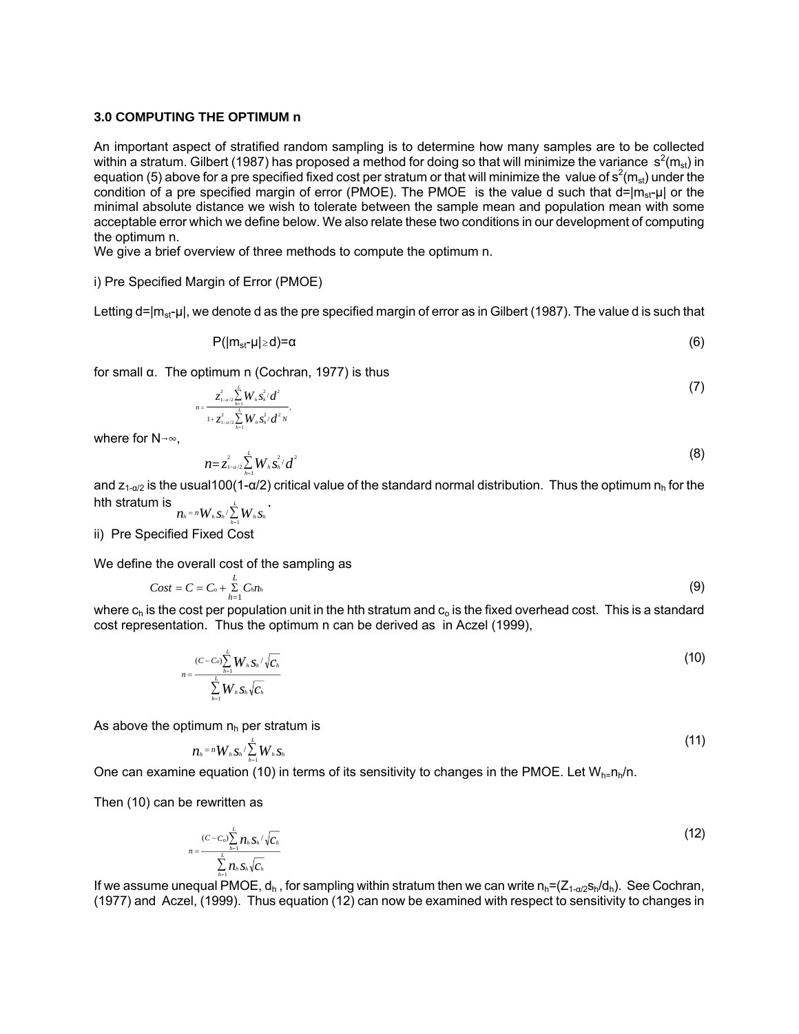#### **3.0 COMPUTING THE OPTIMUM n**

An important aspect of stratified random sampling is to determine how many samples are to be collected within a stratum. Gilbert (1987) has proposed a method for doing so that will minimize the variance  $s^2(m_{st})$  in equation (5) above for a pre specified fixed cost per stratum or that will minimize the value of  $s^2(m_{st})$  under the condition of a pre specified margin of error (PMOE). The PMOE is the value d such that  $d=|m_{st}-\mu|$  or the minimal absolute distance we wish to tolerate between the sample mean and population mean with some acceptable error which we define below. We also relate these two conditions in our development of computing the optimum n.

We give a brief overview of three methods to compute the optimum n.

i) Pre Specified Margin of Error (PMOE)

Letting  $d=|m_{st}-\mu|$ , we denote d as the pre specified margin of error as in Gilbert (1987). The value d is such that

$$
P(|m_{st}-\mu|\geq d)=\alpha\tag{6}
$$

for small α. The optimum n (Cochran, 1977) is thus

$$
n = \frac{Z_{1-a/2}^2 \sum_{h=1}^L W_h \, S_h^2 / d^2}{1 + Z_{1-a/2}^2 \sum_{h=1}^L W_h \, S_h^2 / d^2 N}.
$$

where for  $N\rightarrow\infty$ .

$$
n = z_{\text{max}}^2 \sum_{h=1}^L W_h \, s_h^2 / d^2 \tag{8}
$$

and  $z_{1-\alpha/2}$  is the usual100(1- $\alpha/2$ ) critical value of the standard normal distribution. Thus the optimum  $n_h$  for the hth stratum is  $n_{h}$  = *n*  $W_{h}$   $S_{h}$  /  $\sum_{h=1}^{L} W_{h}$   $S$ .

*h hh hh h* ii) Pre Specified Fixed Cost

We define the overall cost of the sampling as

$$
Cost = C = C_o + \sum_{h=1}^{L} C_h n_h \tag{9}
$$

where  $c_h$  is the cost per population unit in the hth stratum and  $c_o$  is the fixed overhead cost. This is a standard cost representation. Thus the optimum n can be derived as in Aczel (1999),

$$
n = \frac{(C - C_o) \sum_{h=1}^{L} W_h \mathbf{S}_h / \sqrt{C_h}}{\sum_{h=1}^{L} W_h \mathbf{S}_h \sqrt{C_h}}
$$
(10)

As above the optimum  $n_h$  per stratum is

$$
n_{\scriptscriptstyle h} = n_{\scriptscriptstyle h} W_{\scriptscriptstyle h} S_{\scriptscriptstyle h} / \sum_{\scriptscriptstyle h=1}^{\scriptscriptstyle L} W_{\scriptscriptstyle h} S_{\scriptscriptstyle h}
$$
 (11)

One can examine equation (10) in terms of its sensitivity to changes in the PMOE. Let  $W_{n=n}$ <sub>n</sub>/n.

Then (10) can be rewritten as

$$
n = \frac{(C - C_o) \sum_{h=1}^{L} n_h s_h / \sqrt{C_h}}{\sum_{h=1}^{L} n_h s_h \sqrt{C_h}}
$$
(12)

If we assume unequal PMOE,  $d_h$ , for sampling within stratum then we can write  $n_h = (Z_{1-d/2}s_h/d_h)$ . See Cochran, (1977) and Aczel, (1999). Thus equation (12) can now be examined with respect to sensitivity to changes in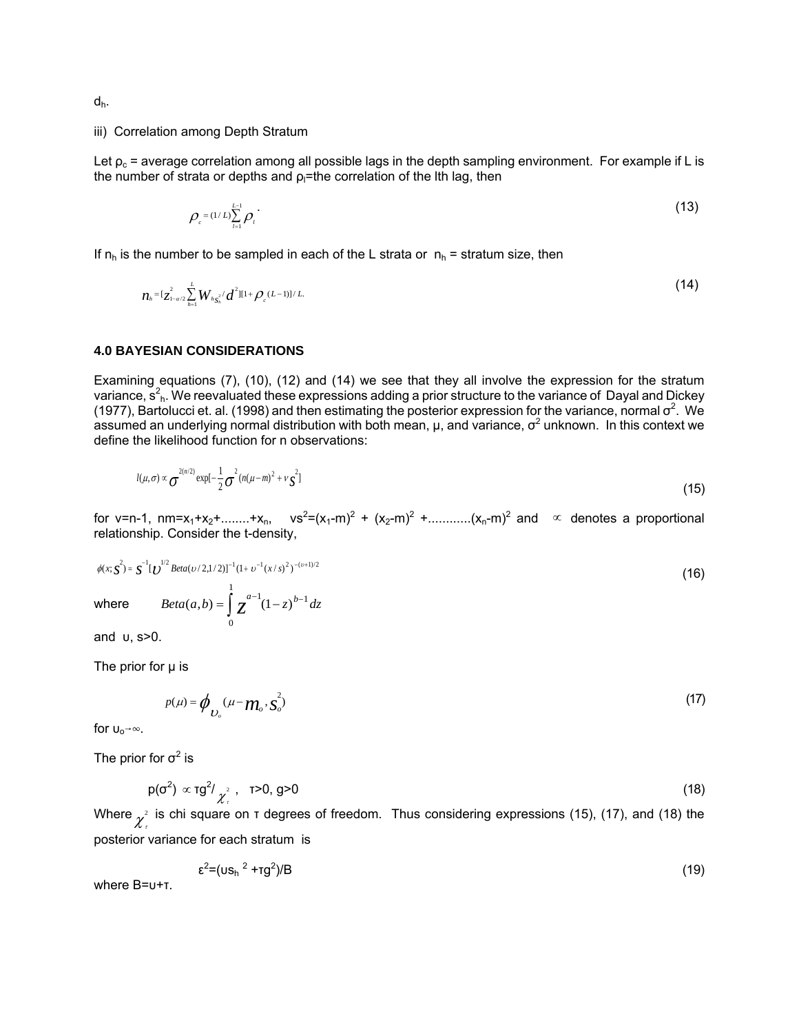dh.

#### iii) Correlation among Depth Stratum

Let  $\rho_c$  = average correlation among all possible lags in the depth sampling environment. For example if L is the number of strata or depths and  $\rho$ <sub>l</sub>=the correlation of the lth lag, then

$$
\rho_{c} = (1/L)\sum_{l=1}^{L-1} \rho_{l} \tag{13}
$$

If  $n_h$  is the number to be sampled in each of the L strata or  $n_h$  = stratum size, then

$$
n_{h} = \left[ z_{1-a/2}^{2} \sum_{h=1}^{L} W_{h} z_{h}^{2} / d^{2} \right] \left[ 1 + \rho_{c} (L-1) \right] / L. \tag{14}
$$

#### **4.0 BAYESIAN CONSIDERATIONS**

Examining equations (7), (10), (12) and (14) we see that they all involve the expression for the stratum variance, s<sup>2</sup><sub>h</sub>. We reevaluated these expressions adding a prior structure to the variance of Dayal and Dickey (1977), Bartolucci et. al. (1998) and then estimating the posterior expression for the variance, normal  $\sigma^2$ . We assumed an underlying normal distribution with both mean,  $\mu$ , and variance,  $\sigma^2$  unknown. In this context we define the likelihood function for n observations:

$$
l(\mu,\sigma) \propto \sigma^{2(n/2)} \exp[-\frac{1}{2}\sigma^2 (n(\mu-m)^2 + \nu \vec{S})]
$$
\n(15)

for v=n-1, nm=x<sub>1</sub>+x<sub>2</sub>+........+x<sub>n</sub>, vs<sup>2</sup>=(x<sub>1</sub>-m)<sup>2</sup> + (x<sub>2</sub>-m)<sup>2</sup> +.............(x<sub>n</sub>-m)<sup>2</sup> and  $\infty$  denotes a proportional relationship. Consider the t-density,

$$
\phi(x; \mathbf{S}^2) = \mathbf{S}^{-1}[\mathbf{U}^{1/2} \text{Beta}(\mathbf{v}/2, 1/2)]^{-1} (\mathbf{1} + \mathbf{v}^{-1} (x/\mathbf{s})^2)^{-(\nu+1)/2}
$$
\nwhere

\n
$$
\text{Beta}(a, b) = \int_0^1 z^{a-1} (1-z)^{b-1} dz
$$
\n(16)

and υ, s>0.

The prior for  $\mu$  is

$$
p(\mu) = \phi_{\mathcal{U}_o}(\mu - \mathcal{W}_o, \mathbf{s}_o^2) \tag{17}
$$

for  $U_0 \rightarrow \infty$ .

The prior for  $\sigma^2$  is

$$
p(\sigma^2) \propto \tau g^2 / \frac{1}{\chi^2}, \quad \tau > 0, \quad g > 0 \tag{18}
$$

Where  $\chi^2$  is chi square on τ degrees of freedom. Thus considering expressions (15), (17), and (18) the posterior variance for each stratum is

$$
\varepsilon^2 = (\mathsf{us}_h^2 + \mathsf{tg}^2)/B \tag{19}
$$

where B=υ+τ.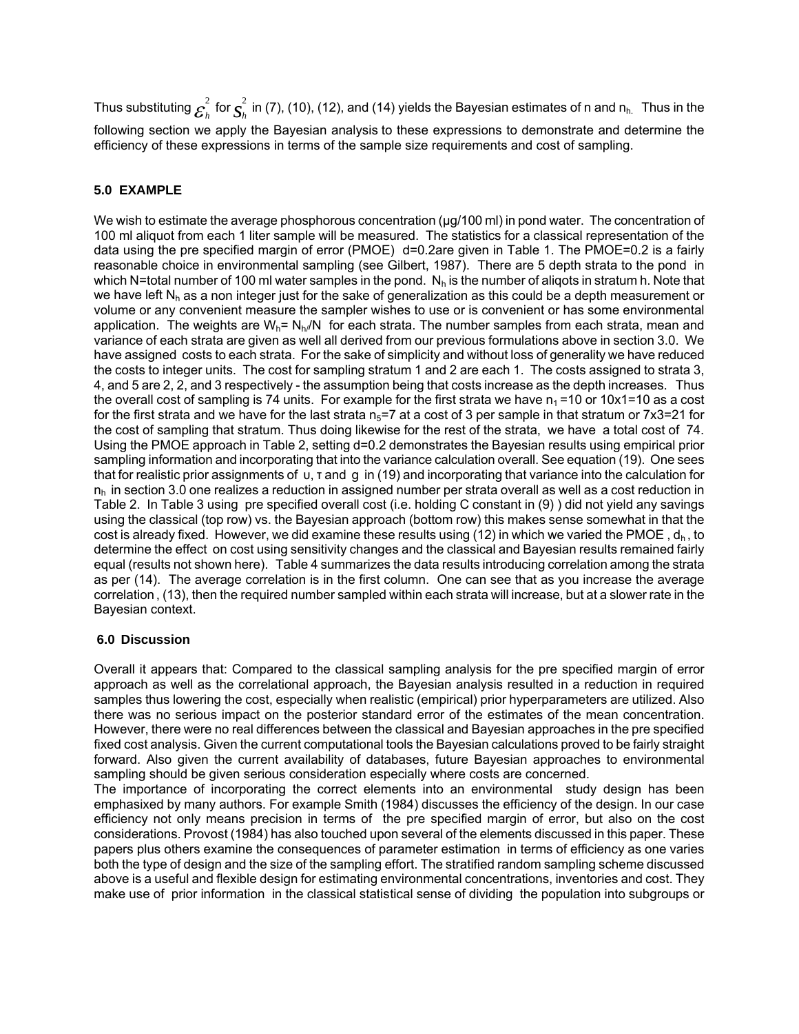Thus substituting  $\mathcal{E}_h^2$  for  $\int_{2h}^2$  in (7), (10), (12), and (14) yields the Bayesian estimates of n and n<sub>h.</sub> Thus in the following section we apply the Bayesian analysis to these expressions to demonstrate and determine the efficiency of these expressions in terms of the sample size requirements and cost of sampling.

## **5.0 EXAMPLE**

We wish to estimate the average phosphorous concentration ( $\mu$ g/100 ml) in pond water. The concentration of 100 ml aliquot from each 1 liter sample will be measured. The statistics for a classical representation of the data using the pre specified margin of error (PMOE) d=0.2are given in Table 1. The PMOE=0.2 is a fairly reasonable choice in environmental sampling (see Gilbert, 1987). There are 5 depth strata to the pond in which N=total number of 100 ml water samples in the pond.  $N_h$  is the number of aliqots in stratum h. Note that we have left  $N_h$  as a non integer just for the sake of generalization as this could be a depth measurement or volume or any convenient measure the sampler wishes to use or is convenient or has some environmental application. The weights are  $W_h = N_h/N$  for each strata. The number samples from each strata, mean and variance of each strata are given as well all derived from our previous formulations above in section 3.0. We have assigned costs to each strata. For the sake of simplicity and without loss of generality we have reduced the costs to integer units. The cost for sampling stratum 1 and 2 are each 1. The costs assigned to strata 3, 4, and 5 are 2, 2, and 3 respectively - the assumption being that costs increase as the depth increases. Thus the overall cost of sampling is 74 units. For example for the first strata we have  $n_1 = 10$  or  $10x1 = 10$  as a cost for the first strata and we have for the last strata  $n_5=7$  at a cost of 3 per sample in that stratum or 7x3=21 for the cost of sampling that stratum. Thus doing likewise for the rest of the strata, we have a total cost of 74. Using the PMOE approach in Table 2, setting d=0.2 demonstrates the Bayesian results using empirical prior sampling information and incorporating that into the variance calculation overall. See equation (19). One sees that for realistic prior assignments of υ, τ and g in (19) and incorporating that variance into the calculation for  $n<sub>b</sub>$  in section 3.0 one realizes a reduction in assigned number per strata overall as well as a cost reduction in Table 2. In Table 3 using pre specified overall cost (i.e. holding C constant in (9) ) did not yield any savings using the classical (top row) vs. the Bayesian approach (bottom row) this makes sense somewhat in that the cost is already fixed. However, we did examine these results using (12) in which we varied the PMOE,  $d_h$ , to determine the effect on cost using sensitivity changes and the classical and Bayesian results remained fairly equal (results not shown here). Table 4 summarizes the data results introducing correlation among the strata as per (14). The average correlation is in the first column. One can see that as you increase the average correlation, (13), then the required number sampled within each strata will increase, but at a slower rate in the Bayesian context.

#### **6.0 Discussion**

Overall it appears that: Compared to the classical sampling analysis for the pre specified margin of error approach as well as the correlational approach, the Bayesian analysis resulted in a reduction in required samples thus lowering the cost, especially when realistic (empirical) prior hyperparameters are utilized. Also there was no serious impact on the posterior standard error of the estimates of the mean concentration. However, there were no real differences between the classical and Bayesian approaches in the pre specified fixed cost analysis. Given the current computational tools the Bayesian calculations proved to be fairly straight forward. Also given the current availability of databases, future Bayesian approaches to environmental sampling should be given serious consideration especially where costs are concerned.

The importance of incorporating the correct elements into an environmental study design has been emphasixed by many authors. For example Smith (1984) discusses the efficiency of the design. In our case efficiency not only means precision in terms of the pre specified margin of error, but also on the cost considerations. Provost (1984) has also touched upon several of the elements discussed in this paper. These papers plus others examine the consequences of parameter estimation in terms of efficiency as one varies both the type of design and the size of the sampling effort. The stratified random sampling scheme discussed above is a useful and flexible design for estimating environmental concentrations, inventories and cost. They make use of prior information in the classical statistical sense of dividing the population into subgroups or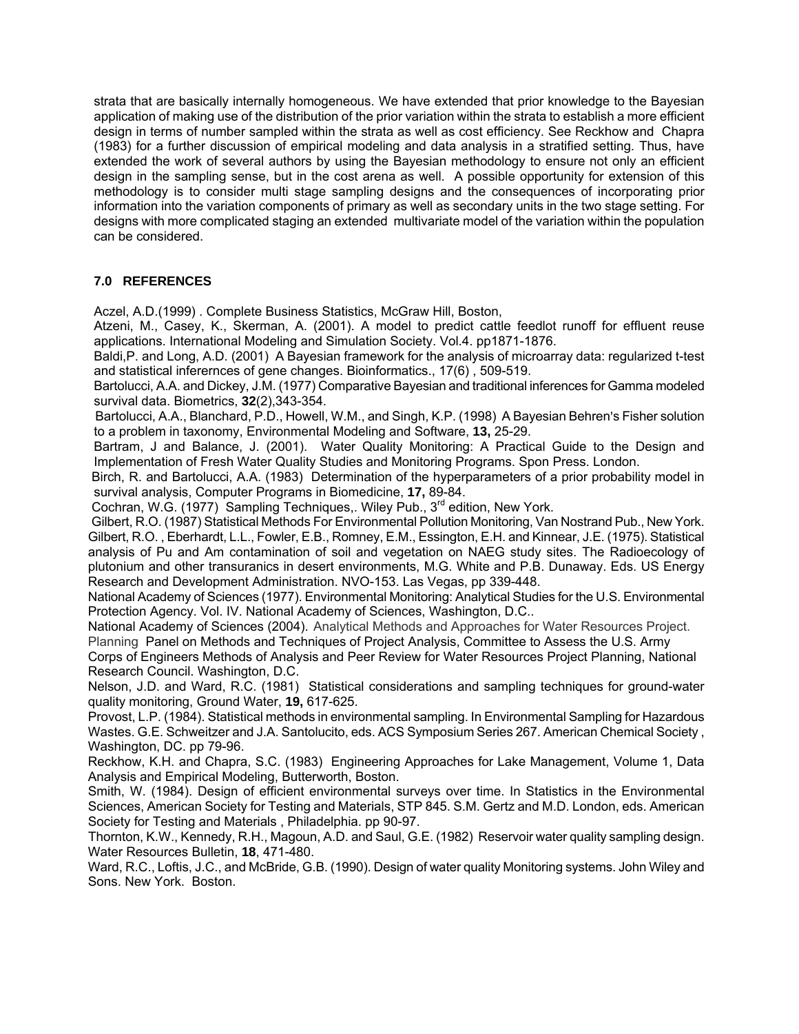strata that are basically internally homogeneous. We have extended that prior knowledge to the Bayesian application of making use of the distribution of the prior variation within the strata to establish a more efficient design in terms of number sampled within the strata as well as cost efficiency. See Reckhow and Chapra (1983) for a further discussion of empirical modeling and data analysis in a stratified setting. Thus, have extended the work of several authors by using the Bayesian methodology to ensure not only an efficient design in the sampling sense, but in the cost arena as well. A possible opportunity for extension of this methodology is to consider multi stage sampling designs and the consequences of incorporating prior information into the variation components of primary as well as secondary units in the two stage setting. For designs with more complicated staging an extended multivariate model of the variation within the population can be considered.

## **7.0 REFERENCES**

Aczel, A.D.(1999) . Complete Business Statistics, McGraw Hill, Boston,

Atzeni, M., Casey, K., Skerman, A. (2001). A model to predict cattle feedlot runoff for effluent reuse applications. International Modeling and Simulation Society. Vol.4. pp1871-1876.

Baldi,P. and Long, A.D. (2001) A Bayesian framework for the analysis of microarray data: regularized t-test and statistical inferernces of gene changes. Bioinformatics., 17(6) , 509-519.

Bartolucci, A.A. and Dickey, J.M. (1977) Comparative Bayesian and traditional inferences for Gamma modeled survival data. Biometrics, **32**(2),343-354.

Bartolucci, A.A., Blanchard, P.D., Howell, W.M., and Singh, K.P. (1998) A Bayesian Behren's Fisher solution to a problem in taxonomy, Environmental Modeling and Software, **13,** 25-29.

Bartram, J and Balance, J. (2001). Water Quality Monitoring: A Practical Guide to the Design and Implementation of Fresh Water Quality Studies and Monitoring Programs. Spon Press. London.

 Birch, R. and Bartolucci, A.A. (1983) Determination of the hyperparameters of a prior probability model in survival analysis, Computer Programs in Biomedicine, **17,** 89-84.

Cochran, W.G. (1977) Sampling Techniques,. Wiley Pub.,  $3^{rd}$  edition, New York.

 Gilbert, R.O. (1987) Statistical Methods For Environmental Pollution Monitoring, Van Nostrand Pub., New York. Gilbert, R.O. , Eberhardt, L.L., Fowler, E.B., Romney, E.M., Essington, E.H. and Kinnear, J.E. (1975). Statistical analysis of Pu and Am contamination of soil and vegetation on NAEG study sites. The Radioecology of plutonium and other transuranics in desert environments, M.G. White and P.B. Dunaway. Eds. US Energy Research and Development Administration. NVO-153. Las Vegas, pp 339-448.

National Academy of Sciences (1977). Environmental Monitoring: Analytical Studies for the U.S. Environmental Protection Agency. Vol. IV. National Academy of Sciences, Washington, D.C..

National Academy of Sciences (2004). Analytical Methods and Approaches for Water Resources Project. Planning Panel on Methods and Techniques of Project Analysis, Committee to Assess the U.S. Army

Corps of Engineers Methods of Analysis and Peer Review for Water Resources Project Planning, National Research Council. Washington, D.C.

Nelson, J.D. and Ward, R.C. (1981) Statistical considerations and sampling techniques for ground-water quality monitoring, Ground Water, **19,** 617-625.

Provost, L.P. (1984). Statistical methods in environmental sampling. In Environmental Sampling for Hazardous Wastes. G.E. Schweitzer and J.A. Santolucito, eds. ACS Symposium Series 267. American Chemical Society , Washington, DC. pp 79-96.

Reckhow, K.H. and Chapra, S.C. (1983) Engineering Approaches for Lake Management, Volume 1, Data Analysis and Empirical Modeling, Butterworth, Boston.

Smith, W. (1984). Design of efficient environmental surveys over time. In Statistics in the Environmental Sciences, American Society for Testing and Materials, STP 845. S.M. Gertz and M.D. London, eds. American Society for Testing and Materials , Philadelphia. pp 90-97.

Thornton, K.W., Kennedy, R.H., Magoun, A.D. and Saul, G.E. (1982) Reservoir water quality sampling design. Water Resources Bulletin, **18**, 471-480.

Ward, R.C., Loftis, J.C., and McBride, G.B. (1990). Design of water quality Monitoring systems. John Wiley and Sons. New York. Boston.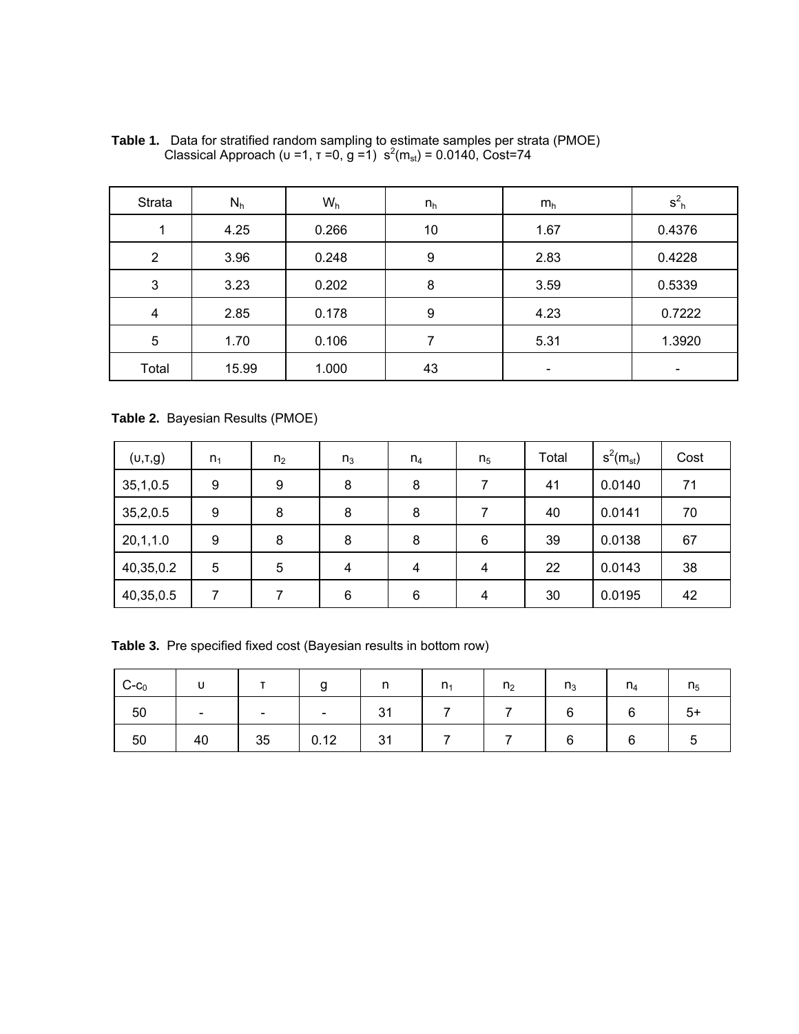| Strata         | $N_h$ | $W_h$ | $n_h$ | $m_h$                        | $S_{h}$ |
|----------------|-------|-------|-------|------------------------------|---------|
|                | 4.25  | 0.266 | 10    | 1.67                         | 0.4376  |
| $\overline{2}$ | 3.96  | 0.248 | 9     | 2.83                         | 0.4228  |
| 3              | 3.23  | 0.202 | 8     | 3.59                         | 0.5339  |
| 4              | 2.85  | 0.178 | 9     | 4.23                         | 0.7222  |
| 5              | 1.70  | 0.106 |       | 5.31                         | 1.3920  |
| Total          | 15.99 | 1.000 | 43    | $\qquad \qquad \blacksquare$ | -       |

**Table 1.** Data for stratified random sampling to estimate samples per strata (PMOE) Classical Approach (υ = 1, τ = 0, g = 1)  $s^2(m_{st}) = 0.0140$ , Cost=74

**Table 2.** Bayesian Results (PMOE)

| (U,T,G)    | n <sub>1</sub> | n <sub>2</sub> | $n_3$          | $n_4$ | n <sub>5</sub> | Total | $s^2(m_{st})$ | Cost |
|------------|----------------|----------------|----------------|-------|----------------|-------|---------------|------|
| 35, 1, 0.5 | 9              | 9              | 8              | 8     | 7              | 41    | 0.0140        | 71   |
| 35,2,0.5   | 9              | 8              | 8              | 8     | 7              | 40    | 0.0141        | 70   |
| 20,1,1.0   | 9              | 8              | 8              | 8     | 6              | 39    | 0.0138        | 67   |
| 40,35,0.2  | 5              | 5              | 4              | 4     | $\overline{4}$ | 22    | 0.0143        | 38   |
| 40,35,0.5  | ⇁              |                | $6\phantom{1}$ | 6     | $\overline{4}$ | 30    | 0.0195        | 42   |

**Table 3.** Pre specified fixed cost (Bayesian results in bottom row)

| $\mathsf{C}\text{-}\mathsf{c}_0$ | . . |                          | g                        |    | n <sub>1</sub> | n <sub>2</sub> | $n_3$  | $n_4$ | n <sub>5</sub> |
|----------------------------------|-----|--------------------------|--------------------------|----|----------------|----------------|--------|-------|----------------|
| 50                               |     | $\overline{\phantom{0}}$ | $\overline{\phantom{a}}$ | 31 |                |                | $\sim$ | ⌒     | $5+$           |
| 50                               | 40  | 35                       | 0.12                     | 31 |                |                |        |       | C              |